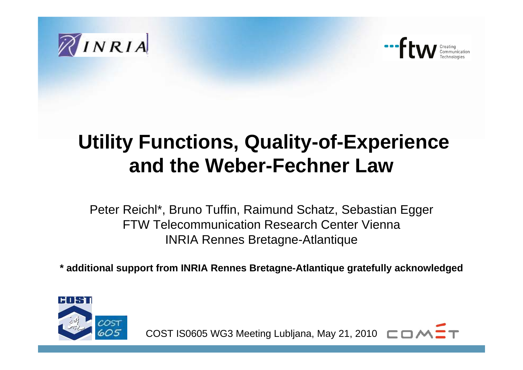



## **Utility Functions, Quality-of-Experience and the Weber-Fechner Law**

Peter Reichl\*, Bruno Tuffin, Raimund Schatz, Sebastian Egger FTW Telecommunication Research Center ViennaINRIA Rennes Bretagne-Atlantique

**\* additional support from INRIA Rennes Bretagne-Atlantique gratefully acknowledged**



COST IS0605 WG3 Meeting Lubljana, May 21, 2010  $\Box$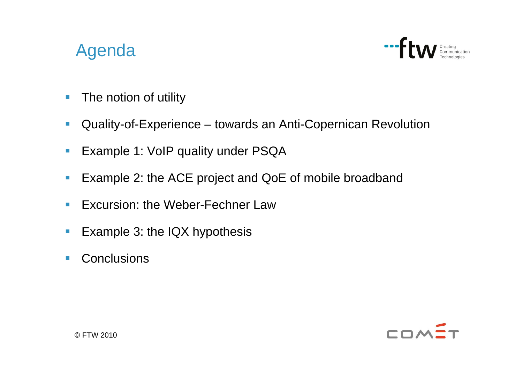## Agenda



- $\left\vert \cdot \right\rangle$ The notion of utility
- $\overline{\phantom{a}}$ Quality-of-Experience – towards an Anti-Copernican Revolution
- $\overline{\phantom{a}}$ Example 1: VoIP quality under PSQA
- $\overline{\mathbb{R}^n}$ Example 2: the ACE project and QoE of mobile broadband
- $\overline{\mathbb{R}^2}$ **Excursion: the Weber-Fechner Law**
- $\Box$ Example 3: the IQX hypothesis
- $\overline{\phantom{a}}$ **Conclusions**

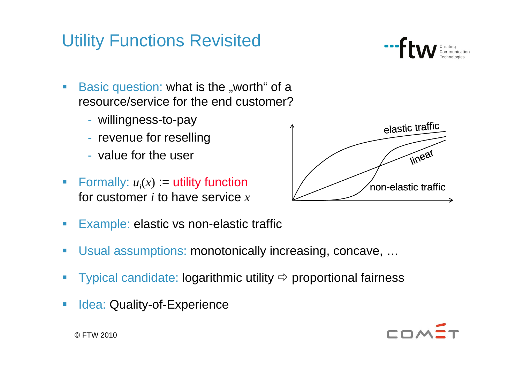## Utility Functions Revisited



- Basic question: what is the "worth" of a resource/service for the end customer?
	- willingness-to-pay
	- revenue for reselling
	- value for the user
- Formally:  $u_i(x) :=$  utility function for customer *i* to have service *x*



- e.<br>Ka Example: elastic vs non-elastic traffic
- e.<br>Ka Usual assumptions: monotonically increasing, concave, …
- e. Typical candidate: logarithmic utility  $\Rightarrow$  proportional fairness
- Idea: Quality-of-Experience

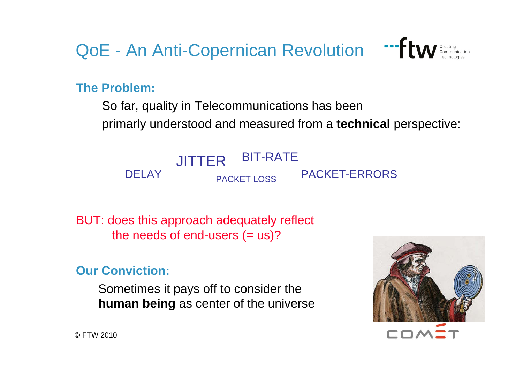QoE - An Anti-Copernican Revolution "FLW Creating



**The Problem:**

So far, quality in Telecommunications has been

primarly understood and measured from <sup>a</sup>**technical** perspective:



BUT: does this approach adequately reflect the needs of end-users  $(= us)?$ 

**Our Conviction:**

Sometimes it pays off to consider the **human being** as center of the universe



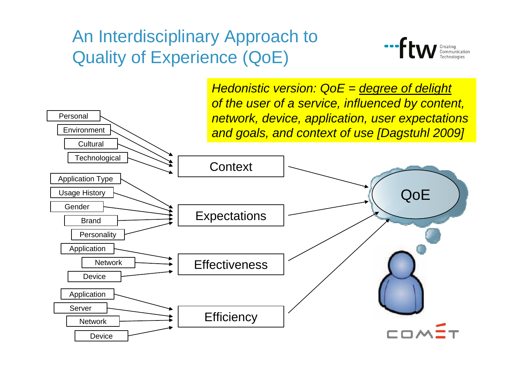## An Interdisciplinary Approach to Quality of Experience (QoE)



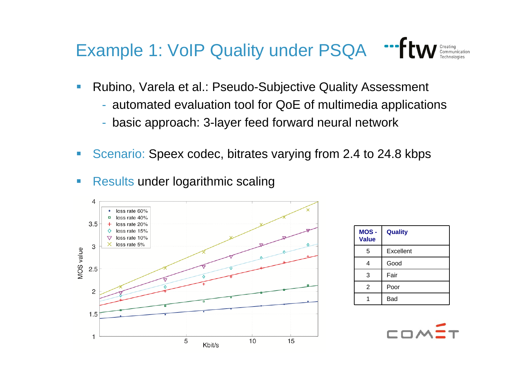# Example 1: VoIP Quality under PSQA "ftw Creating

- Rubino, Varela et al.: Pseudo-Subjective Quality Assessment
	- automated evaluation tool for QoE of multimedia applications
	- basic approach: 3-layer feed forward neural network
- e.<br>Ka Scenario: Speex codec, bitrates varying from 2.4 to 24.8 kbps
- e.<br>Ka **Results under logarithmic scaling**



| MOS-<br><b>Value</b> | <b>Quality</b> |
|----------------------|----------------|
| 5                    | Excellent      |
| 4                    | Good           |
| 3                    | Fair           |
| 2                    | Poor           |
|                      | Bad            |

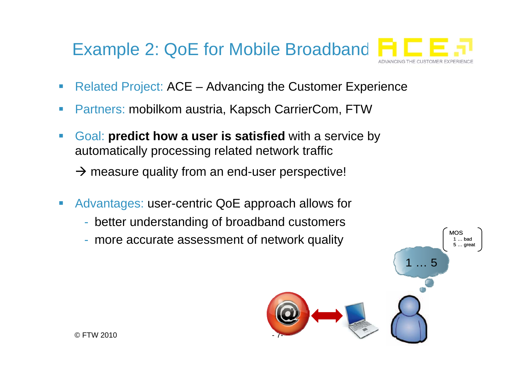

- $\overline{\phantom{a}}$ Related Project: ACE – Advancing the Customer Experience
- $\overline{\phantom{a}}$ Partners: mobilkom austria, Kapsch CarrierCom, FTW
- $\overline{\mathcal{A}}$  Goal: **predict how a user is satisfied** with a service by automatically processing related network traffic

 $\rightarrow$  measure quality from an end-user perspective!

- $\mathcal{L}_{\mathcal{A}}$  Advantages: user-centric QoE approach allows for
	- -- better understanding of broadband customers
	- more accurate assessment of network quality

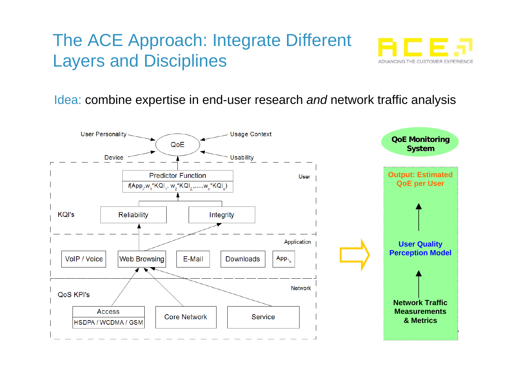## The ACE Approach: Integrate Different Layers and Disciplines



Idea: combine expertise in end-user research *and* network traffic analysis

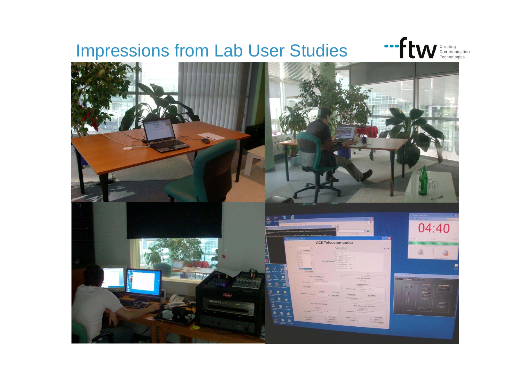#### Impressions from Lab User Studies



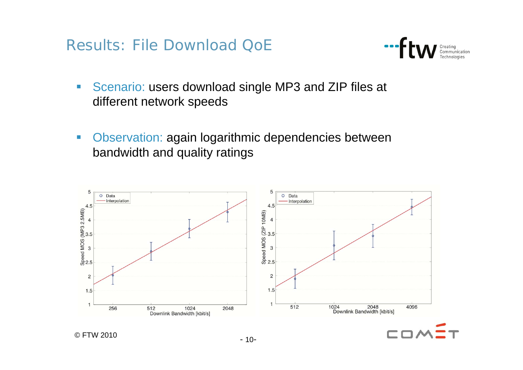Results: File Download QoE



- $\overline{\mathbb{R}^n}$  Scenario: users download single MP3 and ZIP files at different network speeds
- $\mathcal{L}_{\mathcal{A}}$  Observation: again logarithmic dependencies between bandwidth and quality ratings

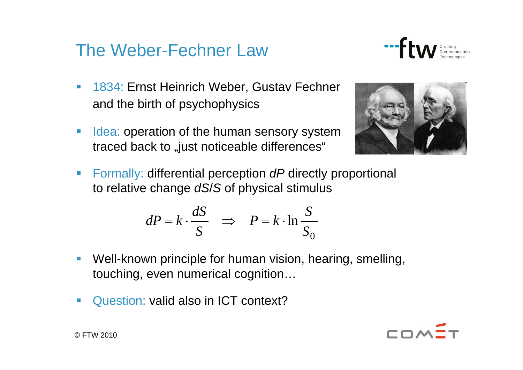#### The Weber-Fechner Law



- 1834: Ernst Heinrich Weber, Gustav Fechner and the birth of psychophysics
- $\mathcal{L}_{\mathcal{A}}$ Idea: operation of the human sensory system traced back to "just noticeable differences"



 Formally: differential perception *dP* directly proportional to relative change *dS*/*S* of physical stimulus

$$
dP = k \cdot \frac{dS}{S} \quad \Rightarrow \quad P = k \cdot \ln \frac{S}{S_0}
$$

- e.<br>Ka Well-known principle for human vision, hearing, smelling, touching, even numerical cognition…
- $\mathcal{C}^{\mathcal{A}}$ Question: valid also in ICT context?

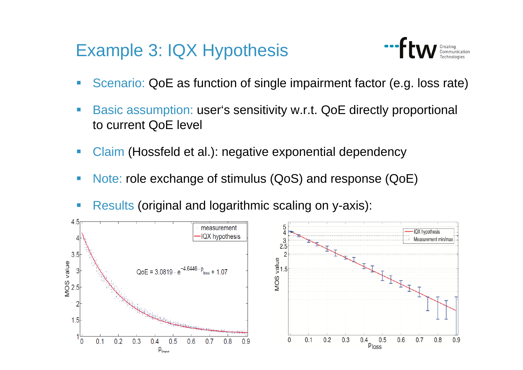#### Example 3: IQX Hypothesis



- $\mathcal{L}_{\mathcal{A}}$ Scenario: QoE as function of single impairment factor (e.g. loss rate)
- Basic assumption: user's sensitivity w.r.t. QoE directly proportional to current QoE level
- e.<br>Ka Claim (Hossfeld et al.): negative exponential dependency
- e.<br>Ka Note: role exchange of stimulus (QoS) and response (QoE)
- **Results (original and logarithmic scaling on y-axis):**

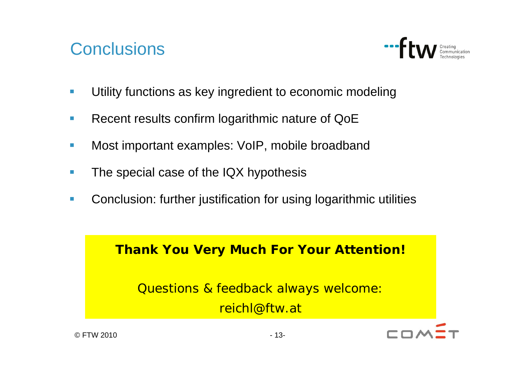#### **Conclusions**



- $\overline{\phantom{a}}$ Utility functions as key ingredient to economic modeling
- $\blacksquare$ Recent results confirm logarithmic nature of QoE
- $\overline{\phantom{a}}$ Most important examples: VoIP, mobile broadband
- $\Box$ The special case of the IQX hypothesis
- $\blacksquare$ Conclusion: further justification for using logarithmic utilities